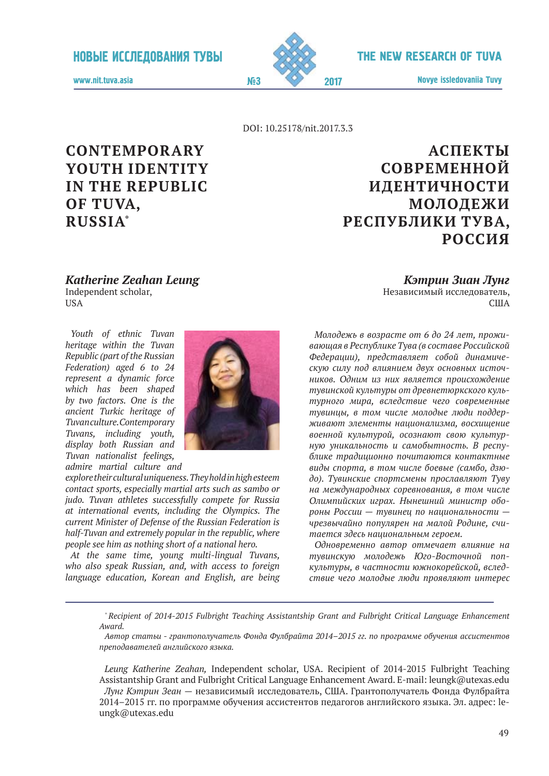

Novye issledovaniia Tuvy 2017

www.nit.tuva.asia №3

DOI: 10.25178/nit.2017.3.3

# **Contemporary Youth Identity in the Republic of Tuva, Russia\***

# **Аспекты современной идентичности молодежи Республики Тува, Россия**

*Katherine Zeahan Leung* Independent scholar, **USA** 

*Youth of ethnic Tuvan heritage within the Tuvan Republic (part of the Russian Federation) aged 6 to 24 represent a dynamic force which has been shaped by two factors. One is the ancient Turkic heritage of Tuvan culture. Contemporary Tuvans, including youth, display both Russian and Tuvan nationalist feelings,* 



*admire martial culture and* 

*explore their cultural uniqueness. They hold in high esteem contact sports, especially martial arts such as sambo or judo. Tuvan athletes successfully compete for Russia at international events, including the Olympics. The current Minister of Defense of the Russian Federation is half-Tuvan and extremely popular in the republic, where people see him as nothing short of a national hero.*

*At the same time, young multi-lingual Tuvans, who also speak Russian, and, with access to foreign language education, Korean and English, are being* 

*Кэтрин Зиан Лунг* Независимый исследователь, США

*Молодежь в возрасте от 6 до 24 лет, проживающая в Республике Тува (в составе Российской Федерации), представляет собой динамическую силу под влиянием двух основных источников. Одним из них является происхождение тувинской культуры от древнетюркского культурного мира, вследствие чего современные тувинцы, в том числе молодые люди поддерживают элементы национализма, восхищение военной культурой, осознают свою культурную уникальность и самобытность. В республике традиционно почитаются контактные виды спорта, в том числе боевые (самбо, дзюдо). Тувинские спортсмены прославляют Туву на международных соревнования, в том числе Олимпийских играх. Нынешний министр обороны России — тувинец по национальности чрезвычайно популярен на малой Родине, считается здесь национальным героем.*

*Одновременно автор отмечает влияние на тувинскую молодежь Юго-Восточной попкультуры, в частности южнокорейской, вследствие чего молодые люди проявляют интерес* 

*\* Recipient of 2014-2015 Fulbright Teaching Assistantship Grant and Fulbright Critical Language Enhancement Award.* 

*Автор статьи - грантополучатель Фонда Фулбрайта 2014–2015 гг. по программе обучения ассистентов преподавателей английского языка.*

*Leung Katherine Zeahan,* Independent scholar, USA. Recipient of 2014-2015 Fulbright Teaching Assistantship Grant and Fulbright Critical Language Enhancement Award. E-mail: leungk@utexas.edu *Лунг Кэтрин Зеан* — независимый исследователь, США. Грантополучатель Фонда Фулбрайта 2014–2015 гг. по программе обучения ассистентов педагогов английского языка. Эл. адрес: leungk@utexas.edu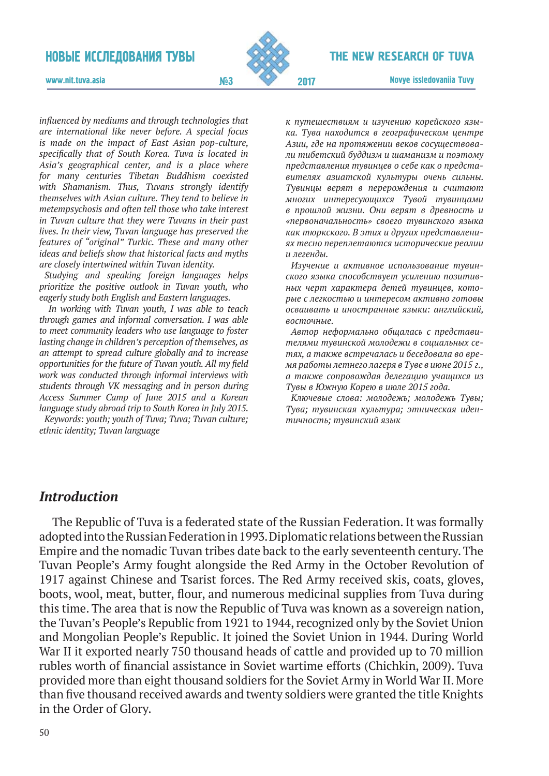

#### The New research of Tuva

www.nit.tuva.asia №3

*influenced by mediums and through technologies that are international like never before. A special focus is made on the impact of East Asian pop-culture, specifically that of South Korea. Tuva is located in Asia's geographical center, and is a place where for many centuries Tibetan Buddhism coexisted with Shamanism. Thus, Tuvans strongly identify themselves with Asian culture. They tend to believe in metempsychosis and often tell those who take interest in Tuvan culture that they were Tuvans in their past lives. In their view, Tuvan language has preserved the features of "original" Turkic. These and many other ideas and beliefs show that historical facts and myths are closely intertwined within Tuvan identity.*

*Studying and speaking foreign languages helps prioritize the positive outlook in Tuvan youth, who eagerly study both English and Eastern languages.* 

 *In working with Tuvan youth, I was able to teach through games and informal conversation. I was able to meet community leaders who use language to foster lasting change in children's perception of themselves, as an attempt to spread culture globally and to increase opportunities for the future of Tuvan youth. All my field work was conducted through informal interviews with students through VK messaging and in person during Access Summer Camp of June 2015 and a Korean language study abroad trip to South Korea in July 2015.*

*Keywords: youth; youth of Tuva; Tuva; Tuvan culture; ethnic identity; Tuvan language*

*к путешествиям и изучению корейского языка. Тува находится в географическом центре Азии, где на протяжении веков сосуществовали тибетский буддизм и шаманизм и поэтому представления тувинцев о себе как о представителях азиатской культуры очень сильны. Тувинцы верят в перерождения и считают многих интересующихся Тувой тувинцами в прошлой жизни. Они верят в древность и «первоначальность» своего тувинского языка как тюркского. В этих и других представлениях тесно переплетаются исторические реалии и легенды.* 

*Изучение и активное использование тувинского языка способствует усилению позитивных черт характера детей тувинцев, которые с легкостью и интересом активно готовы осваивать и иностранные языки: английский, восточные.* 

*Автор неформально общалась с представителями тувинской молодежи в социальных сетях, а также встречалась и беседовала во время работы летнего лагеря в Туве в июне 2015 г., а также сопровождая делегацию учащихся из Тувы в Южную Корею в июле 2015 года.*

*Ключевые слова: молодежь; молодежь Тувы; Тува; тувинская культура; этническая идентичность; тувинский язык*

### *Introduction*

The Republic of Tuva is a federated state of the Russian Federation. It was formally adopted into the Russian Federation in 1993. Diplomatic relations between the Russian Empire and the nomadic Tuvan tribes date back to the early seventeenth century. The Tuvan People's Army fought alongside the Red Army in the October Revolution of 1917 against Chinese and Tsarist forces. The Red Army received skis, coats, gloves, boots, wool, meat, butter, flour, and numerous medicinal supplies from Tuva during this time. The area that is now the Republic of Tuva was known as a sovereign nation, the Tuvan's People's Republic from 1921 to 1944, recognized only by the Soviet Union and Mongolian People's Republic. It joined the Soviet Union in 1944. During World War II it exported nearly 750 thousand heads of cattle and provided up to 70 million rubles worth of financial assistance in Soviet wartime efforts (Chichkin, 2009). Tuva provided more than eight thousand soldiers for the Soviet Army in World War II. More than five thousand received awards and twenty soldiers were granted the title Knights in the Order of Glory.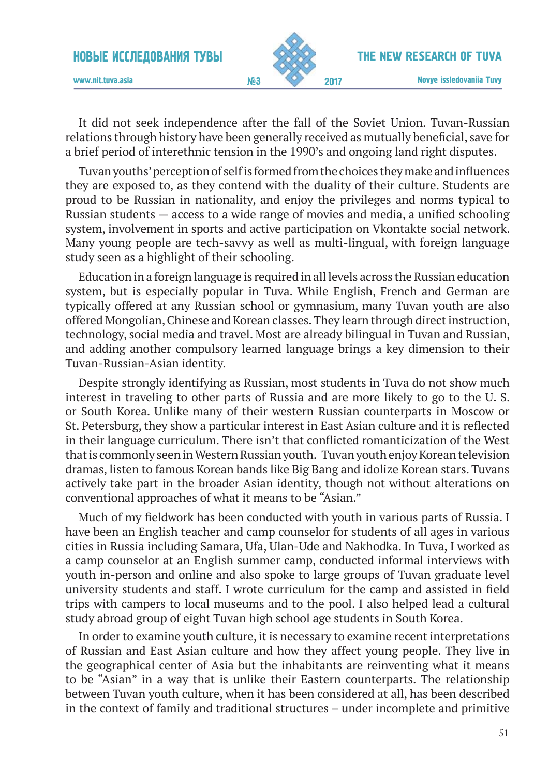

www.nit.tuva.asia №3

It did not seek independence after the fall of the Soviet Union. Tuvan-Russian relations through history have been generally received as mutually beneficial, save for a brief period of interethnic tension in the 1990's and ongoing land right disputes.

Tuvan youths' perception of self is formed from the choices they make and influences they are exposed to, as they contend with the duality of their culture. Students are proud to be Russian in nationality, and enjoy the privileges and norms typical to Russian students — access to a wide range of movies and media, a unified schooling system, involvement in sports and active participation on Vkontakte social network. Many young people are tech-savvy as well as multi-lingual, with foreign language study seen as a highlight of their schooling.

Education in a foreign language is required in all levels across the Russian education system, but is especially popular in Tuva. While English, French and German are typically offered at any Russian school or gymnasium, many Tuvan youth are also offered Mongolian, Chinese and Korean classes. They learn through direct instruction, technology, social media and travel. Most are already bilingual in Tuvan and Russian, and adding another compulsory learned language brings a key dimension to their Tuvan-Russian-Asian identity.

Despite strongly identifying as Russian, most students in Tuva do not show much interest in traveling to other parts of Russia and are more likely to go to the U. S. or South Korea. Unlike many of their western Russian counterparts in Moscow or St. Petersburg, they show a particular interest in East Asian culture and it is reflected in their language curriculum. There isn't that conflicted romanticization of the West that is commonly seen in Western Russian youth. Tuvan youth enjoy Korean television dramas, listen to famous Korean bands like Big Bang and idolize Korean stars. Tuvans actively take part in the broader Asian identity, though not without alterations on conventional approaches of what it means to be "Asian."

Much of my fieldwork has been conducted with youth in various parts of Russia. I have been an English teacher and camp counselor for students of all ages in various cities in Russia including Samara, Ufa, Ulan-Ude and Nakhodka. In Tuva, I worked as a camp counselor at an English summer camp, conducted informal interviews with youth in-person and online and also spoke to large groups of Tuvan graduate level university students and staff. I wrote curriculum for the camp and assisted in field trips with campers to local museums and to the pool. I also helped lead a cultural study abroad group of eight Tuvan high school age students in South Korea.

In order to examine youth culture, it is necessary to examine recent interpretations of Russian and East Asian culture and how they affect young people. They live in the geographical center of Asia but the inhabitants are reinventing what it means to be "Asian" in a way that is unlike their Eastern counterparts. The relationship between Tuvan youth culture, when it has been considered at all, has been described in the context of family and traditional structures – under incomplete and primitive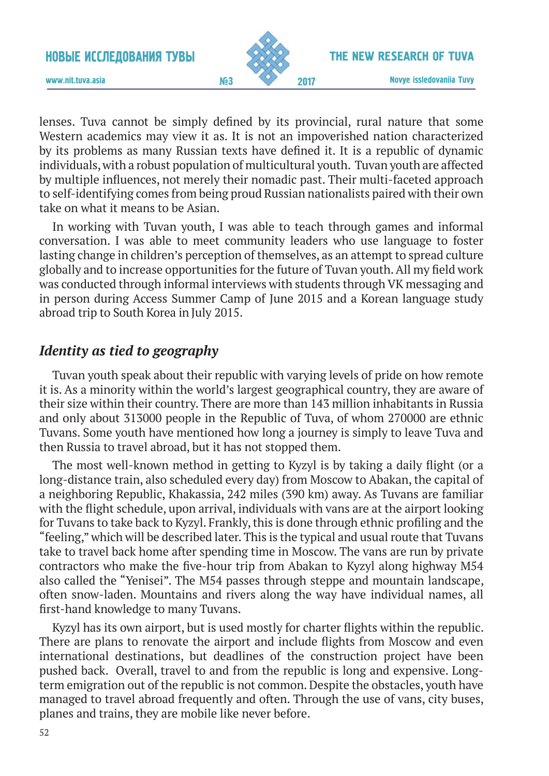

The New research of Tuva

www.nit.tuva.asia №3

Novye issledovaniia Tuvy 2017

lenses. Tuva cannot be simply defined by its provincial, rural nature that some Western academics may view it as. It is not an impoverished nation characterized by its problems as many Russian texts have defined it. It is a republic of dynamic individuals, with a robust population of multicultural youth. Tuvan youth are affected by multiple influences, not merely their nomadic past. Their multi-faceted approach to self-identifying comes from being proud Russian nationalists paired with their own take on what it means to be Asian.

In working with Tuvan youth, I was able to teach through games and informal conversation. I was able to meet community leaders who use language to foster lasting change in children's perception of themselves, as an attempt to spread culture globally and to increase opportunities for the future of Tuvan youth. All my field work was conducted through informal interviews with students through VK messaging and in person during Access Summer Camp of June 2015 and a Korean language study abroad trip to South Korea in July 2015.

## *Identity as tied to geography*

Tuvan youth speak about their republic with varying levels of pride on how remote it is. As a minority within the world's largest geographical country, they are aware of their size within their country. There are more than 143 million inhabitants in Russia and only about 313000 people in the Republic of Tuva, of whom 270000 are ethnic Tuvans. Some youth have mentioned how long a journey is simply to leave Tuva and then Russia to travel abroad, but it has not stopped them.

The most well-known method in getting to Kyzyl is by taking a daily flight (or a long-distance train, also scheduled every day) from Moscow to Abakan, the capital of a neighboring Republic, Khakassia, 242 miles (390 km) away. As Tuvans are familiar with the flight schedule, upon arrival, individuals with vans are at the airport looking for Tuvans to take back to Kyzyl. Frankly, this is done through ethnic profiling and the "feeling," which will be described later. This is the typical and usual route that Tuvans take to travel back home after spending time in Moscow. The vans are run by private contractors who make the five-hour trip from Abakan to Kyzyl along highway M54 also called the "Yenisei". The M54 passes through steppe and mountain landscape, often snow-laden. Mountains and rivers along the way have individual names, all first-hand knowledge to many Tuvans.

Kyzyl has its own airport, but is used mostly for charter flights within the republic. There are plans to renovate the airport and include flights from Moscow and even international destinations, but deadlines of the construction project have been pushed back. Overall, travel to and from the republic is long and expensive. Longterm emigration out of the republic is not common. Despite the obstacles, youth have managed to travel abroad frequently and often. Through the use of vans, city buses, planes and trains, they are mobile like never before.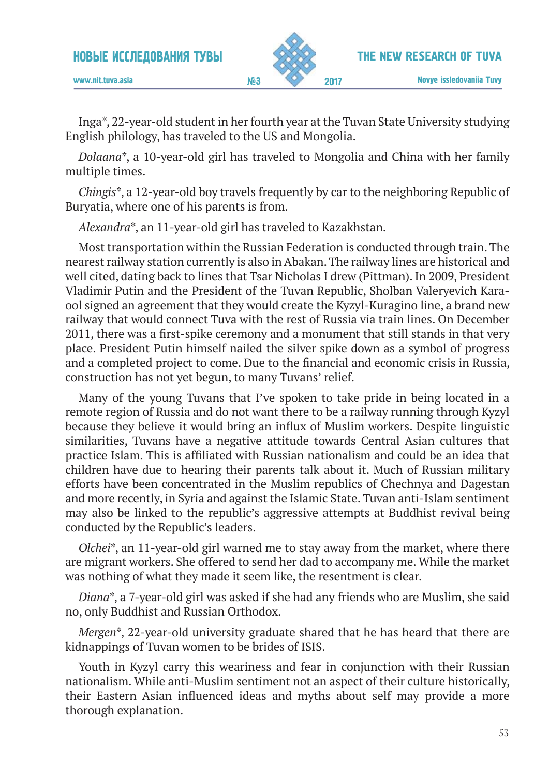

www.nit.tuva.asia №3

Inga\*, 22-year-old student in her fourth year at the Tuvan State University studying English philology, has traveled to the US and Mongolia.

*Dolaana*\*, a 10-year-old girl has traveled to Mongolia and China with her family multiple times.

*Chingis*\*, a 12-year-old boy travels frequently by car to the neighboring Republic of Buryatia, where one of his parents is from.

*Alexandra*\*, an 11-year-old girl has traveled to Kazakhstan.

Most transportation within the Russian Federation is conducted through train. The nearest railway station currently is also in Abakan. The railway lines are historical and well cited, dating back to lines that Tsar Nicholas I drew (Pittman). In 2009, President Vladimir Putin and the President of the Tuvan Republic, Sholban Valeryevich Karaool signed an agreement that they would create the Kyzyl-Kuragino line, a brand new railway that would connect Tuva with the rest of Russia via train lines. On December 2011, there was a first-spike ceremony and a monument that still stands in that very place. President Putin himself nailed the silver spike down as a symbol of progress and a completed project to come. Due to the financial and economic crisis in Russia, construction has not yet begun, to many Tuvans' relief.

Many of the young Tuvans that I've spoken to take pride in being located in a remote region of Russia and do not want there to be a railway running through Kyzyl because they believe it would bring an influx of Muslim workers. Despite linguistic similarities, Tuvans have a negative attitude towards Central Asian cultures that practice Islam. This is affiliated with Russian nationalism and could be an idea that children have due to hearing their parents talk about it. Much of Russian military efforts have been concentrated in the Muslim republics of Chechnya and Dagestan and more recently, in Syria and against the Islamic State. Tuvan anti-Islam sentiment may also be linked to the republic's aggressive attempts at Buddhist revival being conducted by the Republic's leaders.

*Olchei*\*, an 11-year-old girl warned me to stay away from the market, where there are migrant workers. She offered to send her dad to accompany me. While the market was nothing of what they made it seem like, the resentment is clear.

*Diana*\*, a 7-year-old girl was asked if she had any friends who are Muslim, she said no, only Buddhist and Russian Orthodox.

*Mergen*\*, 22-year-old university graduate shared that he has heard that there are kidnappings of Tuvan women to be brides of ISIS.

Youth in Kyzyl carry this weariness and fear in conjunction with their Russian nationalism. While anti-Muslim sentiment not an aspect of their culture historically, their Eastern Asian influenced ideas and myths about self may provide a more thorough explanation.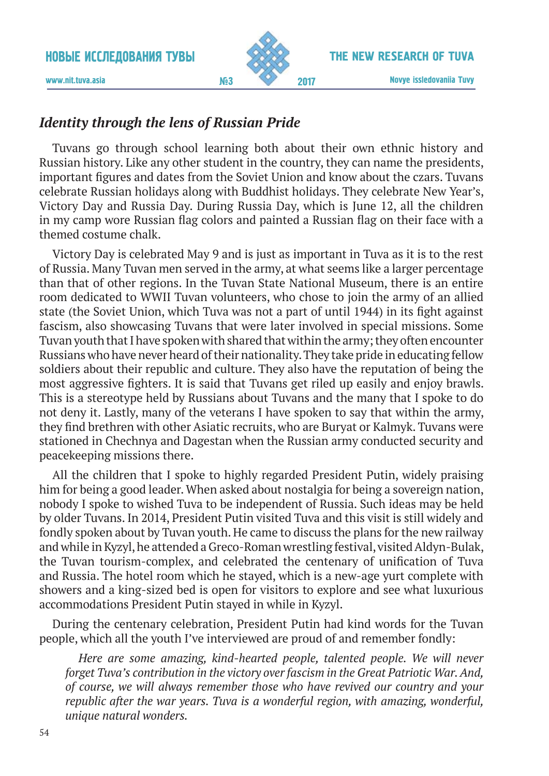

The New research of Tuva

www.nit.tuva.asia №3

# *Identity through the lens of Russian Pride*

Tuvans go through school learning both about their own ethnic history and Russian history. Like any other student in the country, they can name the presidents, important figures and dates from the Soviet Union and know about the czars. Tuvans celebrate Russian holidays along with Buddhist holidays. They celebrate New Year's, Victory Day and Russia Day. During Russia Day, which is June 12, all the children in my camp wore Russian flag colors and painted a Russian flag on their face with a themed costume chalk.

Victory Day is celebrated May 9 and is just as important in Tuva as it is to the rest of Russia. Many Tuvan men served in the army, at what seems like a larger percentage than that of other regions. In the Tuvan State National Museum, there is an entire room dedicated to WWII Tuvan volunteers, who chose to join the army of an allied state (the Soviet Union, which Tuva was not a part of until 1944) in its fight against fascism, also showcasing Tuvans that were later involved in special missions. Some Tuvan youth that I have spoken with shared that within the army; they often encounter Russians who have never heard of their nationality. They take pride in educating fellow soldiers about their republic and culture. They also have the reputation of being the most aggressive fighters. It is said that Tuvans get riled up easily and enjoy brawls. This is a stereotype held by Russians about Tuvans and the many that I spoke to do not deny it. Lastly, many of the veterans I have spoken to say that within the army, they find brethren with other Asiatic recruits, who are Buryat or Kalmyk. Tuvans were stationed in Chechnya and Dagestan when the Russian army conducted security and peacekeeping missions there.

All the children that I spoke to highly regarded President Putin, widely praising him for being a good leader. When asked about nostalgia for being a sovereign nation, nobody I spoke to wished Tuva to be independent of Russia. Such ideas may be held by older Tuvans. In 2014, President Putin visited Tuva and this visit is still widely and fondly spoken about by Tuvan youth. He came to discuss the plans for the new railway and while in Kyzyl, he attended a Greco-Roman wrestling festival, visited Aldyn-Bulak, the Tuvan tourism-complex, and celebrated the centenary of unification of Tuva and Russia. The hotel room which he stayed, which is a new-age yurt complete with showers and a king-sized bed is open for visitors to explore and see what luxurious accommodations President Putin stayed in while in Kyzyl.

During the centenary celebration, President Putin had kind words for the Tuvan people, which all the youth I've interviewed are proud of and remember fondly:

*Here are some amazing, kind-hearted people, talented people. We will never forget Tuva's contribution in the victory over fascism in the Great Patriotic War. And, of course, we will always remember those who have revived our country and your republic after the war years. Tuva is a wonderful region, with amazing, wonderful, unique natural wonders.*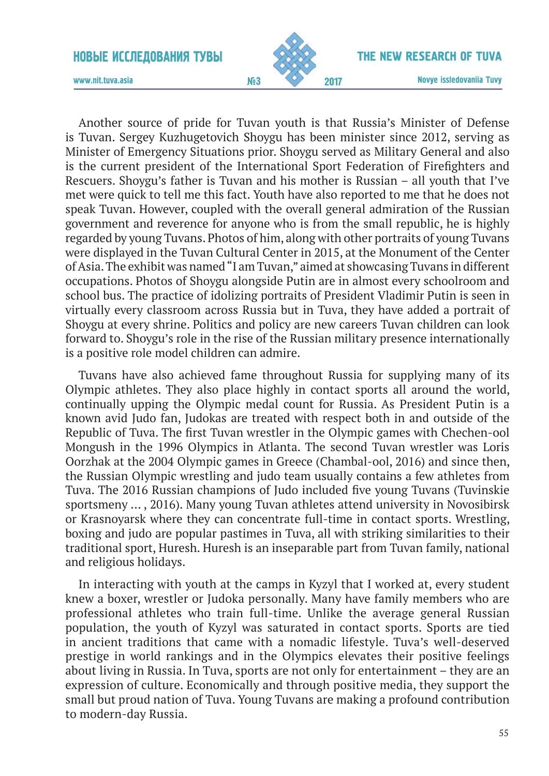

Novye issledovaniia Tuvy 2017

www.nit.tuva.asia №3

Another source of pride for Tuvan youth is that Russia's Minister of Defense is Tuvan. Sergey Kuzhugetovich Shoygu has been minister since 2012, serving as Minister of Emergency Situations prior. Shoygu served as Military General and also is the current president of the International Sport Federation of Firefighters and Rescuers. Shoygu's father is Tuvan and his mother is Russian – all youth that I've met were quick to tell me this fact. Youth have also reported to me that he does not speak Tuvan. However, coupled with the overall general admiration of the Russian government and reverence for anyone who is from the small republic, he is highly regarded by young Tuvans. Photos of him, along with other portraits of young Tuvans were displayed in the Tuvan Cultural Center in 2015, at the Monument of the Center of Asia. The exhibit was named "I am Tuvan," aimed at showcasing Tuvans in different occupations. Photos of Shoygu alongside Putin are in almost every schoolroom and school bus. The practice of idolizing portraits of President Vladimir Putin is seen in virtually every classroom across Russia but in Tuva, they have added a portrait of Shoygu at every shrine. Politics and policy are new careers Tuvan children can look forward to. Shoygu's role in the rise of the Russian military presence internationally is a positive role model children can admire.

Tuvans have also achieved fame throughout Russia for supplying many of its Olympic athletes. They also place highly in contact sports all around the world, continually upping the Olympic medal count for Russia. As President Putin is a known avid Judo fan, Judokas are treated with respect both in and outside of the Republic of Tuva. The first Tuvan wrestler in the Olympic games with Chechen-ool Mongush in the 1996 Оlympics in Atlanta. The second Tuvan wrestler was Loris Oorzhak at the 2004 Olympic games in Greece (Chambal-ool, 2016) and since then, the Russian Olympic wrestling and judo team usually contains a few athletes from Tuva. The 2016 Russian champions of Judo included five young Tuvans (Tuvinskie sportsmeny … , 2016). Many young Tuvan athletes attend university in Novosibirsk or Krasnoyarsk where they can concentrate full-time in contact sports. Wrestling, boxing and judo are popular pastimes in Tuva, all with striking similarities to their traditional sport, Huresh. Huresh is an inseparable part from Tuvan family, national and religious holidays.

In interacting with youth at the camps in Kyzyl that I worked at, every student knew a boxer, wrestler or Judoka personally. Many have family members who are professional athletes who train full-time. Unlike the average general Russian population, the youth of Kyzyl was saturated in contact sports. Sports are tied in ancient traditions that came with a nomadic lifestyle. Tuva's well-deserved prestige in world rankings and in the Olympics elevates their positive feelings about living in Russia. In Tuva, sports are not only for entertainment – they are an expression of culture. Economically and through positive media, they support the small but proud nation of Tuva. Young Tuvans are making a profound contribution to modern-day Russia.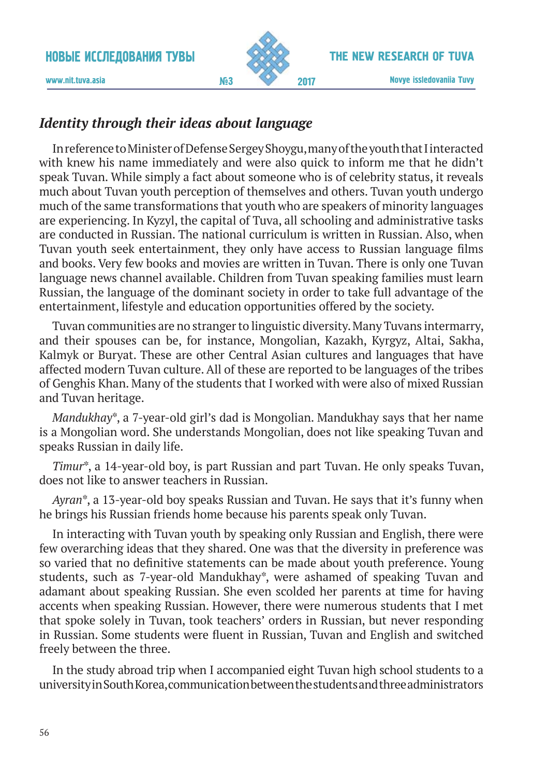

www.nit.tuva.asia №3

# *Identity through their ideas about language*

In reference to Minister of Defense Sergey Shoygu, many of the youth that I interacted with knew his name immediately and were also quick to inform me that he didn't speak Tuvan. While simply a fact about someone who is of celebrity status, it reveals much about Tuvan youth perception of themselves and others. Tuvan youth undergo much of the same transformations that youth who are speakers of minority languages are experiencing. In Kyzyl, the capital of Tuva, all schooling and administrative tasks are conducted in Russian. The national curriculum is written in Russian. Also, when Tuvan youth seek entertainment, they only have access to Russian language films and books. Very few books and movies are written in Tuvan. There is only one Tuvan language news channel available. Children from Tuvan speaking families must learn Russian, the language of the dominant society in order to take full advantage of the entertainment, lifestyle and education opportunities offered by the society.

Tuvan communities are no stranger to linguistic diversity. Many Tuvans intermarry, and their spouses can be, for instance, Mongolian, Kazakh, Kyrgyz, Altai, Sakha, Kalmyk or Buryat. These are other Central Asian cultures and languages that have affected modern Tuvan culture. All of these are reported to be languages of the tribes of Genghis Khan. Many of the students that I worked with were also of mixed Russian and Tuvan heritage.

*Mandukhay*\*, a 7-year-old girl's dad is Mongolian. Mandukhay says that her name is a Mongolian word. She understands Mongolian, does not like speaking Tuvan and speaks Russian in daily life.

*Timur*\*, a 14-year-old boy, is part Russian and part Tuvan. He only speaks Tuvan, does not like to answer teachers in Russian.

*Ayran*\*, a 13-year-old boy speaks Russian and Tuvan. He says that it's funny when he brings his Russian friends home because his parents speak only Tuvan.

In interacting with Tuvan youth by speaking only Russian and English, there were few overarching ideas that they shared. One was that the diversity in preference was so varied that no definitive statements can be made about youth preference. Young students, such as 7-year-old Mandukhay\*, were ashamed of speaking Tuvan and adamant about speaking Russian. She even scolded her parents at time for having accents when speaking Russian. However, there were numerous students that I met that spoke solely in Tuvan, took teachers' orders in Russian, but never responding in Russian. Some students were fluent in Russian, Tuvan and English and switched freely between the three.

In the study abroad trip when I accompanied eight Tuvan high school students to a university in South Korea, communication between the students and three administrators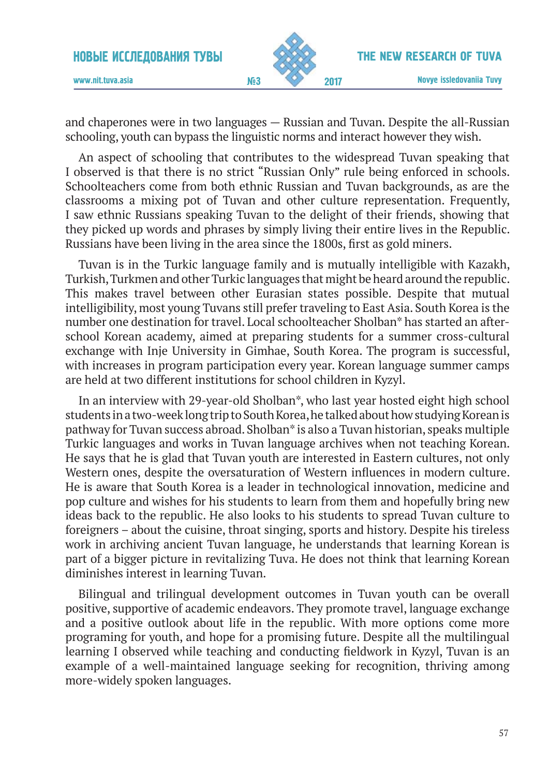

www.nit.tuva.asia №3

and chaperones were in two languages — Russian and Tuvan. Despite the all-Russian schooling, youth can bypass the linguistic norms and interact however they wish.

An aspect of schooling that contributes to the widespread Tuvan speaking that I observed is that there is no strict "Russian Only" rule being enforced in schools. Schoolteachers come from both ethnic Russian and Tuvan backgrounds, as are the classrooms a mixing pot of Tuvan and other culture representation. Frequently, I saw ethnic Russians speaking Tuvan to the delight of their friends, showing that they picked up words and phrases by simply living their entire lives in the Republic. Russians have been living in the area since the 1800s, first as gold miners.

Tuvan is in the Turkic language family and is mutually intelligible with Kazakh, Turkish, Turkmen and other Turkic languages that might be heard around the republic. This makes travel between other Eurasian states possible. Despite that mutual intelligibility, most young Tuvans still prefer traveling to East Asia. South Korea is the number one destination for travel. Local schoolteacher Sholban\* has started an afterschool Korean academy, aimed at preparing students for a summer cross-cultural exchange with Inje University in Gimhae, South Korea. The program is successful, with increases in program participation every year. Korean language summer camps are held at two different institutions for school children in Kyzyl.

In an interview with 29-year-old Sholban\*, who last year hosted eight high school students in a two-week long trip to South Korea, he talked about how studying Korean is pathway for Tuvan success abroad. Sholban\* is also a Tuvan historian, speaks multiple Turkic languages and works in Tuvan language archives when not teaching Korean. He says that he is glad that Tuvan youth are interested in Eastern cultures, not only Western ones, despite the oversaturation of Western influences in modern culture. He is aware that South Korea is a leader in technological innovation, medicine and pop culture and wishes for his students to learn from them and hopefully bring new ideas back to the republic. He also looks to his students to spread Tuvan culture to foreigners – about the cuisine, throat singing, sports and history. Despite his tireless work in archiving ancient Tuvan language, he understands that learning Korean is part of a bigger picture in revitalizing Tuva. He does not think that learning Korean diminishes interest in learning Tuvan.

Bilingual and trilingual development outcomes in Tuvan youth can be overall positive, supportive of academic endeavors. They promote travel, language exchange and a positive outlook about life in the republic. With more options come more programing for youth, and hope for a promising future. Despite all the multilingual learning I observed while teaching and conducting fieldwork in Kyzyl, Tuvan is an example of a well-maintained language seeking for recognition, thriving among more-widely spoken languages.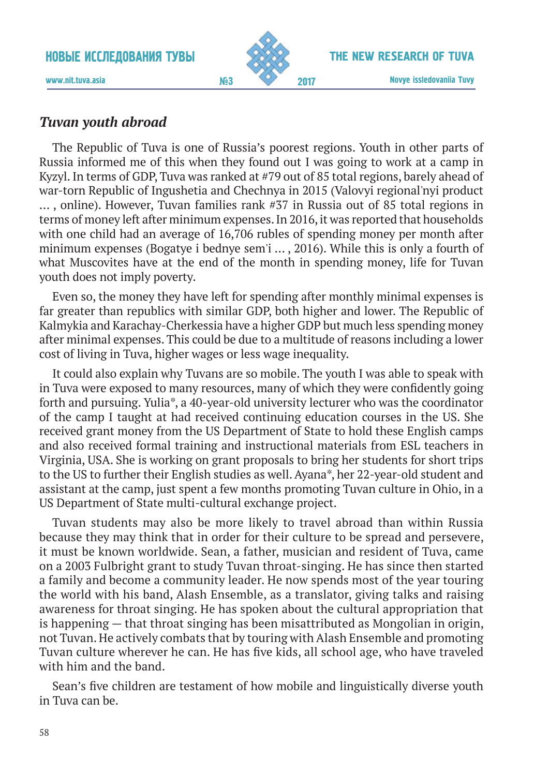

www.nit.tuva.asia №3

# *Tuvan youth abroad*

The Republic of Tuva is one of Russia's poorest regions. Youth in other parts of Russia informed me of this when they found out I was going to work at a camp in Kyzyl. In terms of GDP, Tuva was ranked at #79 out of 85 total regions, barely ahead of war-torn Republic of Ingushetia and Chechnya in 2015 (Valovyi regional'nyi product … , online). However, Tuvan families rank #37 in Russia out of 85 total regions in terms of money left after minimum expenses. In 2016, it was reported that households with one child had an average of 16,706 rubles of spending money per month after minimum expenses (Bogatye i bednye sem'i … , 2016). While this is only a fourth of what Muscovites have at the end of the month in spending money, life for Tuvan youth does not imply poverty.

Even so, the money they have left for spending after monthly minimal expenses is far greater than republics with similar GDP, both higher and lower. The Republic of Kalmykia and Karachay-Cherkessia have a higher GDP but much less spending money after minimal expenses. This could be due to a multitude of reasons including a lower cost of living in Tuva, higher wages or less wage inequality.

It could also explain why Tuvans are so mobile. The youth I was able to speak with in Tuva were exposed to many resources, many of which they were confidently going forth and pursuing. Yulia\*, a 40-year-old university lecturer who was the coordinator of the camp I taught at had received continuing education courses in the US. She received grant money from the US Department of State to hold these English camps and also received formal training and instructional materials from ESL teachers in Virginia, USA. She is working on grant proposals to bring her students for short trips to the US to further their English studies as well. Ayana\*, her 22-year-old student and assistant at the camp, just spent a few months promoting Tuvan culture in Ohio, in a US Department of State multi-cultural exchange project.

Tuvan students may also be more likely to travel abroad than within Russia because they may think that in order for their culture to be spread and persevere, it must be known worldwide. Sean, a father, musician and resident of Tuva, came on a 2003 Fulbright grant to study Tuvan throat-singing. He has since then started a family and become a community leader. He now spends most of the year touring the world with his band, Alash Ensemble, as a translator, giving talks and raising awareness for throat singing. He has spoken about the cultural appropriation that is happening — that throat singing has been misattributed as Mongolian in origin, not Tuvan. He actively combats that by touring with Alash Ensemble and promoting Tuvan culture wherever he can. He has five kids, all school age, who have traveled with him and the band.

Sean's five children are testament of how mobile and linguistically diverse youth in Tuva can be.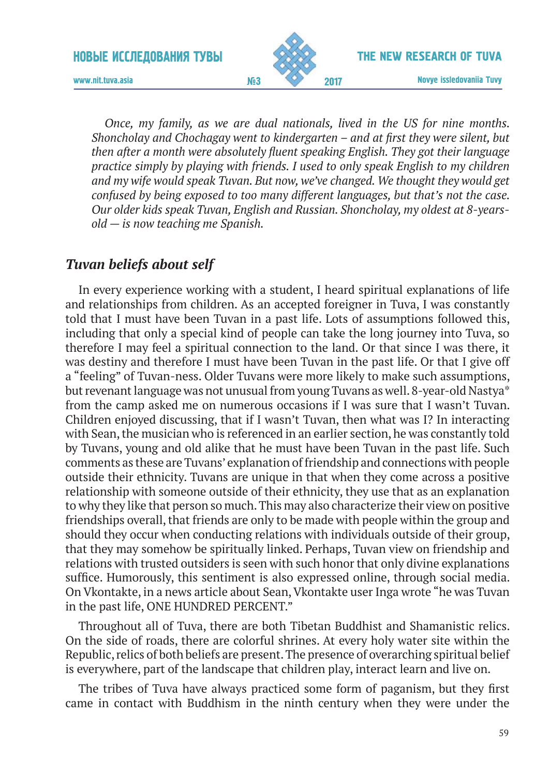

Novye issledovaniia Tuvy 2017

www.nit.tuva.asia №3

*Once, my family, as we are dual nationals, lived in the US for nine months. Shoncholay and Chochagay went to kindergarten – and at first they were silent, but then after a month were absolutely fluent speaking English. They got their language practice simply by playing with friends. I used to only speak English to my children and my wife would speak Tuvan. But now, we've changed. We thought they would get confused by being exposed to too many different languages, but that's not the case. Our older kids speak Tuvan, English and Russian. Shoncholay, my oldest at 8-yearsold — is now teaching me Spanish.*

### *Tuvan beliefs about self*

In every experience working with a student, I heard spiritual explanations of life and relationships from children. As an accepted foreigner in Tuva, I was constantly told that I must have been Tuvan in a past life. Lots of assumptions followed this, including that only a special kind of people can take the long journey into Tuva, so therefore I may feel a spiritual connection to the land. Or that since I was there, it was destiny and therefore I must have been Tuvan in the past life. Or that I give off a "feeling" of Tuvan-ness. Older Tuvans were more likely to make such assumptions, but revenant language was not unusual from young Tuvans as well. 8-year-old Nastya\* from the camp asked me on numerous occasions if I was sure that I wasn't Tuvan. Children enjoyed discussing, that if I wasn't Tuvan, then what was I? In interacting with Sean, the musician who is referenced in an earlier section, he was constantly told by Tuvans, young and old alike that he must have been Tuvan in the past life. Such comments as these are Tuvans' explanation of friendship and connections with people outside their ethnicity. Tuvans are unique in that when they come across a positive relationship with someone outside of their ethnicity, they use that as an explanation to why they like that person so much. This may also characterize their view on positive friendships overall, that friends are only to be made with people within the group and should they occur when conducting relations with individuals outside of their group, that they may somehow be spiritually linked. Perhaps, Tuvan view on friendship and relations with trusted outsiders is seen with such honor that only divine explanations suffice. Humorously, this sentiment is also expressed online, through social media. On Vkontakte, in a news article about Sean, Vkontakte user Inga wrote "he was Tuvan in the past life, ONE HUNDRED PERCENT."

Throughout all of Tuva, there are both Tibetan Buddhist and Shamanistic relics. On the side of roads, there are colorful shrines. At every holy water site within the Republic, relics of both beliefs are present. The presence of overarching spiritual belief is everywhere, part of the landscape that children play, interact learn and live on.

The tribes of Tuva have always practiced some form of paganism, but they first came in contact with Buddhism in the ninth century when they were under the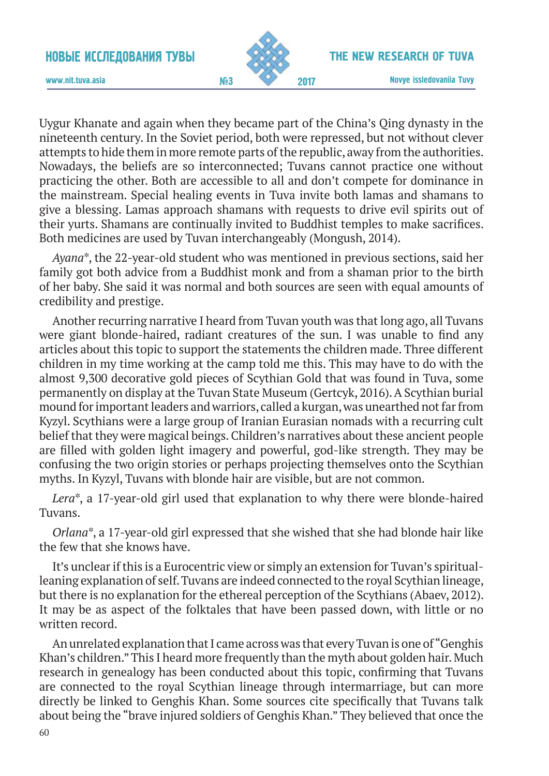

The New research of Tuva

www.nit.tuva.asia №3

Uygur Khanate and again when they became part of the China's Qing dynasty in the nineteenth century. In the Soviet period, both were repressed, but not without clever attempts to hide them in more remote parts of the republic, away from the authorities. Nowadays, the beliefs are so interconnected; Tuvans cannot practice one without practicing the other. Both are accessible to all and don't compete for dominance in the mainstream. Special healing events in Tuva invite both lamas and shamans to give a blessing. Lamas approach shamans with requests to drive evil spirits out of their yurts. Shamans are continually invited to Buddhist temples to make sacrifices. Both medicines are used by Tuvan interchangeably (Mongush, 2014).

*Ayana*\*, the 22-year-old student who was mentioned in previous sections, said her family got both advice from a Buddhist monk and from a shaman prior to the birth of her baby. She said it was normal and both sources are seen with equal amounts of credibility and prestige.

Another recurring narrative I heard from Tuvan youth was that long ago, all Tuvans were giant blonde-haired, radiant creatures of the sun. I was unable to find any articles about this topic to support the statements the children made. Three different children in my time working at the camp told me this. This may have to do with the almost 9,300 decorative gold pieces of Scythian Gold that was found in Tuva, some permanently on display at the Tuvan State Museum (Gertcyk, 2016). A Scythian burial mound for important leaders and warriors, called a kurgan, was unearthed not far from Kyzyl. Scythians were a large group of Iranian Eurasian nomads with a recurring cult belief that they were magical beings. Children's narratives about these ancient people are filled with golden light imagery and powerful, god-like strength. They may be confusing the two origin stories or perhaps projecting themselves onto the Scythian myths. In Kyzyl, Tuvans with blonde hair are visible, but are not common.

*Lera*\*, a 17-year-old girl used that explanation to why there were blonde-haired Tuvans.

*Orlana*\*, a 17-year-old girl expressed that she wished that she had blonde hair like the few that she knows have.

It's unclear if this is a Eurocentric view or simply an extension for Tuvan's spiritualleaning explanation of self. Tuvans are indeed connected to the royal Scythian lineage, but there is no explanation for the ethereal perception of the Scythians (Abaev, 2012). It may be as aspect of the folktales that have been passed down, with little or no written record.

An unrelated explanation that I came across was that every Tuvan is one of "Genghis Khan's children." This I heard more frequently than the myth about golden hair. Much research in genealogy has been conducted about this topic, confirming that Tuvans are connected to the royal Scythian lineage through intermarriage, but can more directly be linked to Genghis Khan. Some sources cite specifically that Tuvans talk about being the "brave injured soldiers of Genghis Khan." They believed that once the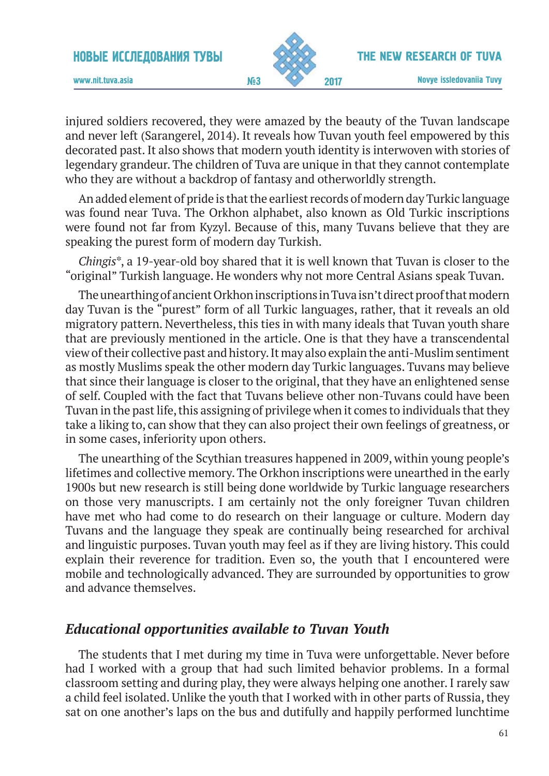

injured soldiers recovered, they were amazed by the beauty of the Tuvan landscape and never left (Sarangerel, 2014). It reveals how Tuvan youth feel empowered by this decorated past. It also shows that modern youth identity is interwoven with stories of legendary grandeur. The children of Tuva are unique in that they cannot contemplate who they are without a backdrop of fantasy and otherworldly strength.

An added element of pride is that the earliest records of modern day Turkic language was found near Tuva. The Orkhon alphabet, also known as Old Turkic inscriptions were found not far from Kyzyl. Because of this, many Tuvans believe that they are speaking the purest form of modern day Turkish.

*Chingis*\*, a 19-year-old boy shared that it is well known that Tuvan is closer to the "original" Turkish language. He wonders why not more Central Asians speak Tuvan.

The unearthing of ancient Orkhon inscriptions in Tuva isn't direct proof that modern day Tuvan is the "purest" form of all Turkic languages, rather, that it reveals an old migratory pattern. Nevertheless, this ties in with many ideals that Tuvan youth share that are previously mentioned in the article. One is that they have a transcendental view of their collective past and history. It may also explain the anti-Muslim sentiment as mostly Muslims speak the other modern day Turkic languages. Tuvans may believe that since their language is closer to the original, that they have an enlightened sense of self. Coupled with the fact that Tuvans believe other non-Tuvans could have been Tuvan in the past life, this assigning of privilege when it comes to individuals that they take a liking to, can show that they can also project their own feelings of greatness, or in some cases, inferiority upon others.

The unearthing of the Scythian treasures happened in 2009, within young people's lifetimes and collective memory. The Orkhon inscriptions were unearthed in the early 1900s but new research is still being done worldwide by Turkic language researchers on those very manuscripts. I am certainly not the only foreigner Tuvan children have met who had come to do research on their language or culture. Modern day Tuvans and the language they speak are continually being researched for archival and linguistic purposes. Tuvan youth may feel as if they are living history. This could explain their reverence for tradition. Even so, the youth that I encountered were mobile and technologically advanced. They are surrounded by opportunities to grow and advance themselves.

### *Educational opportunities available to Tuvan Youth*

The students that I met during my time in Tuva were unforgettable. Never before had I worked with a group that had such limited behavior problems. In a formal classroom setting and during play, they were always helping one another. I rarely saw a child feel isolated. Unlike the youth that I worked with in other parts of Russia, they sat on one another's laps on the bus and dutifully and happily performed lunchtime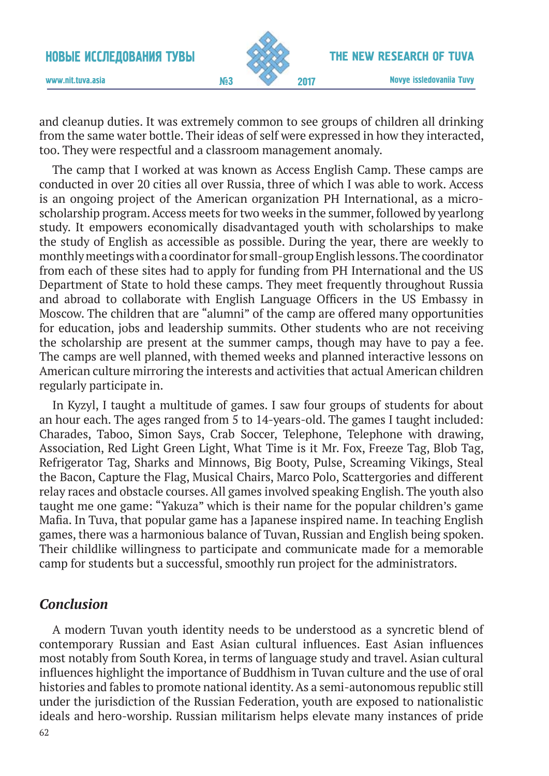

#### The New research of Tuva

www.nit.tuva.asia №3

and cleanup duties. It was extremely common to see groups of children all drinking from the same water bottle. Their ideas of self were expressed in how they interacted, too. They were respectful and a classroom management anomaly.

The camp that I worked at was known as Access English Camp. These camps are conducted in over 20 cities all over Russia, three of which I was able to work. Access is an ongoing project of the American organization PH International, as a microscholarship program. Access meets for two weeks in the summer, followed by yearlong study. It empowers economically disadvantaged youth with scholarships to make the study of English as accessible as possible. During the year, there are weekly to monthly meetings with a coordinator for small-group English lessons. The coordinator from each of these sites had to apply for funding from PH International and the US Department of State to hold these camps. They meet frequently throughout Russia and abroad to collaborate with English Language Officers in the US Embassy in Moscow. The children that are "alumni" of the camp are offered many opportunities for education, jobs and leadership summits. Other students who are not receiving the scholarship are present at the summer camps, though may have to pay a fee. The camps are well planned, with themed weeks and planned interactive lessons on American culture mirroring the interests and activities that actual American children regularly participate in.

In Kyzyl, I taught a multitude of games. I saw four groups of students for about an hour each. The ages ranged from 5 to 14-years-old. The games I taught included: Charades, Taboo, Simon Says, Crab Soccer, Telephone, Telephone with drawing, Association, Red Light Green Light, What Time is it Mr. Fox, Freeze Tag, Blob Tag, Refrigerator Tag, Sharks and Minnows, Big Booty, Pulse, Screaming Vikings, Steal the Bacon, Capture the Flag, Musical Chairs, Marco Polo, Scattergories and different relay races and obstacle courses. All games involved speaking English. The youth also taught me one game: "Yakuza" which is their name for the popular children's game Mafia. In Tuva, that popular game has a Japanese inspired name. In teaching English games, there was a harmonious balance of Tuvan, Russian and English being spoken. Their childlike willingness to participate and communicate made for a memorable camp for students but a successful, smoothly run project for the administrators.

## *Conclusion*

A modern Tuvan youth identity needs to be understood as a syncretic blend of contemporary Russian and East Asian cultural influences. East Asian influences most notably from South Korea, in terms of language study and travel. Asian cultural influences highlight the importance of Buddhism in Tuvan culture and the use of oral histories and fables to promote national identity. As a semi-autonomous republic still under the jurisdiction of the Russian Federation, youth are exposed to nationalistic ideals and hero-worship. Russian militarism helps elevate many instances of pride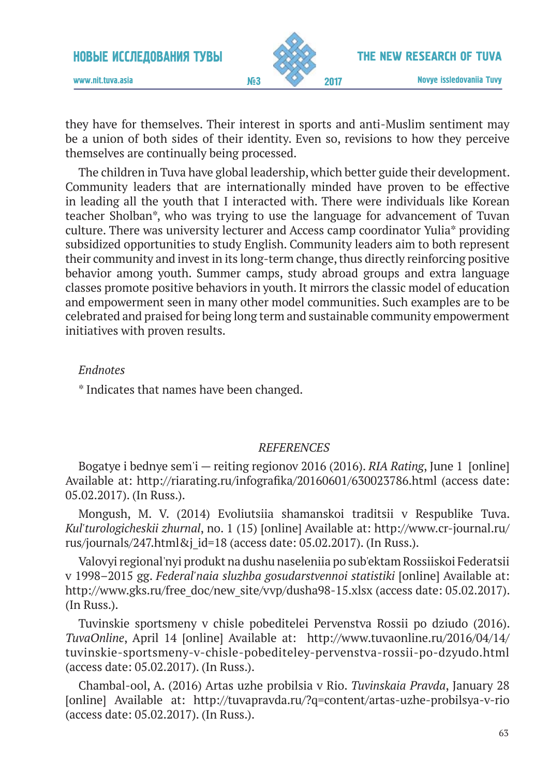

www.nit.tuva.asia №3

they have for themselves. Their interest in sports and anti-Muslim sentiment may be a union of both sides of their identity. Even so, revisions to how they perceive themselves are continually being processed.

The children in Tuva have global leadership, which better guide their development. Community leaders that are internationally minded have proven to be effective in leading all the youth that I interacted with. There were individuals like Korean teacher Sholban\*, who was trying to use the language for advancement of Tuvan culture. There was university lecturer and Access camp coordinator Yulia\* providing subsidized opportunities to study English. Community leaders aim to both represent their community and invest in its long-term change, thus directly reinforcing positive behavior among youth. Summer camps, study abroad groups and extra language classes promote positive behaviors in youth. It mirrors the classic model of education and empowerment seen in many other model communities. Such examples are to be celebrated and praised for being long term and sustainable community empowerment initiatives with proven results.

#### *Endnotes*

\* Indicates that names have been changed.

#### *REFERENCES*

Bogatye i bednye sem'i — reiting regionov 2016 (2016). *RIA Rating*, June 1 [online] Available at: http://riarating.ru/infografika/20160601/630023786.html (access date: 05.02.2017). (In Russ.).

Mongush, M. V. (2014) Evoliutsiia shamanskoi traditsii v Respublike Tuva. *Kul'turologicheskii zhurnal*, no. 1 (15) [online] Available at: http://www.cr-journal.ru/ rus/journals/247.html&j\_id=18 (access date: 05.02.2017). (In Russ.).

Valovyi regional'nyi produkt na dushu naseleniia po sub'ektam Rossiiskoi Federatsii v 1998–2015 gg. *Federal'naia sluzhba gosudarstvennoi statistiki* [online] Available at: http://www.gks.ru/free\_doc/new\_site/vvp/dusha98-15.xlsx (access date: 05.02.2017). (In Russ.).

Tuvinskie sportsmeny v chisle pobeditelei Pervenstva Rossii po dziudo (2016). *TuvaOnline*, April 14 [online] Available at: http://www.tuvaonline.ru/2016/04/14/ tuvinskie-sportsmeny-v-chisle-pobediteley-pervenstva-rossii-po-dzyudo.html (access date: 05.02.2017). (In Russ.).

Chambal-ool, A. (2016) Artas uzhe probilsia v Rio. *Tuvinskaia Pravda*, January 28 [online] Available at: http://tuvapravda.ru/?q=content/artas-uzhe-probilsya-v-rio (access date: 05.02.2017). (In Russ.).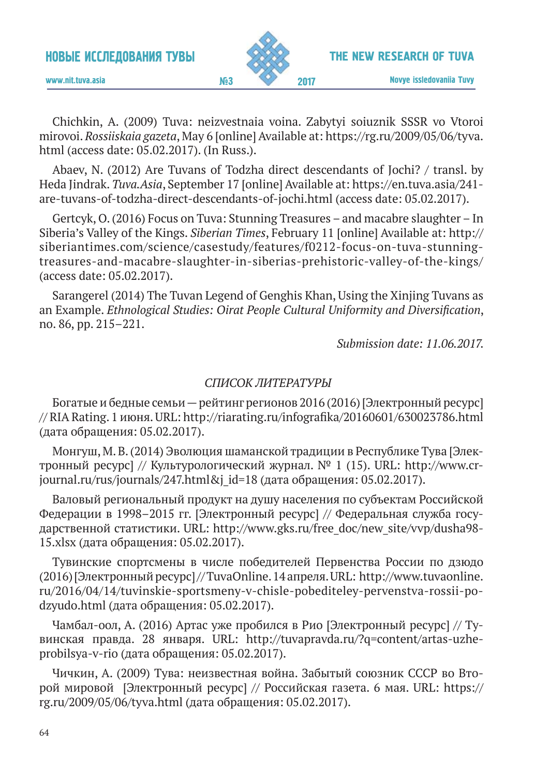

The New research of Tuva

Chichkin, A. (2009) Tuva: neizvestnaia voina. Zabytyi soiuznik SSSR vo Vtoroi mirovoi. *Rossiiskaia gazeta*, May 6 [online] Available at: https://rg.ru/2009/05/06/tyva. html (access date: 05.02.2017). (In Russ.).

Abaev, N. (2012) Are Tuvans of Todzha direct descendants of Jochi? / transl. by Heda Jindrak. *Tuva.Asia*, September 17 [online] Available at: https://en.tuva.asia/241 are-tuvans-of-todzha-direct-descendants-of-jochi.html (access date: 05.02.2017).

Gertcyk, O. (2016) Focus on Tuva: Stunning Treasures – and macabre slaughter – In Siberia's Valley of the Kings. *Siberian Times*, February 11 [online] Available at: http:// siberiantimes.com/science/casestudy/features/f0212-focus-on-tuva-stunningtreasures-and-macabre-slaughter-in-siberias-prehistoric-valley-of-the-kings/ (access date: 05.02.2017).

Sarangerel (2014) The Tuvan Legend of Genghis Khan, Using the Xinjing Tuvans as an Example. *Ethnological Studies: Oirat People Cultural Uniformity and Diversification*, no. 86, pp. 215–221.

*Submission date: 11.06.2017.*

#### *СПИСОК ЛИТЕРАТУРЫ*

Богатые и бедные семьи — рейтинг регионов 2016 (2016) [Электронный ресурс] // RIA Rating. 1 июня. URL: http://riarating.ru/infografika/20160601/630023786.html (дата обращения: 05.02.2017).

Монгуш, М. В. (2014) Эволюция шаманской традиции в Республике Тува [Электронный ресурс] // Культурологический журнал.  $N^{\circ}$  1 (15). URL: http://www.crjournal.ru/rus/journals/247.html&j\_id=18 (дата обращения: 05.02.2017).

Валовый региональный продукт на душу населения по субъектам Российской Федерации в 1998–2015 гг. [Электронный ресурс] // Федеральная служба государственной статистики. URL: http://www.gks.ru/free\_doc/new\_site/vvp/dusha98- 15.xlsx (дата обращения: 05.02.2017).

Тувинские спортсмены в числе победителей Первенства России по дзюдо (2016) [Электронный ресурс] // TuvaOnline. 14 апреля. URL: http://www.tuvaonline. ru/2016/04/14/tuvinskie-sportsmeny-v-chisle-pobediteley-pervenstva-rossii-podzyudo.html (дата обращения: 05.02.2017).

Чамбал-оол, А. (2016) Артас уже пробился в Рио [Электронный ресурс] // Тувинская правда. 28 января. URL: http://tuvapravda.ru/?q=content/artas-uzheprobilsya-v-rio (дата обращения: 05.02.2017).

Чичкин, А. (2009) Тува: неизвестная война. Забытый союзник СССР во Второй мировой [Электронный ресурс] // Российская газета. 6 мая. URL: https:// rg.ru/2009/05/06/tyva.html (дата обращения: 05.02.2017).